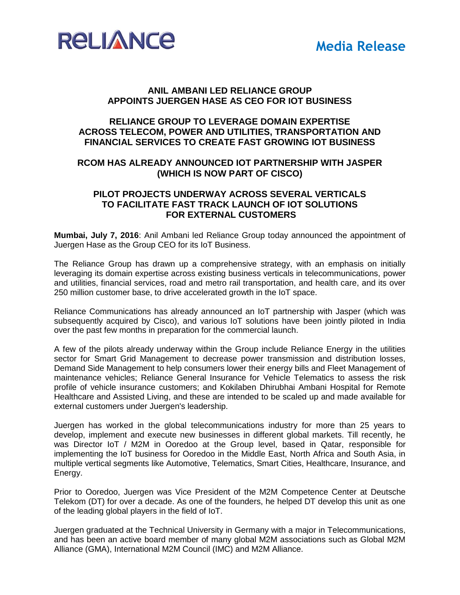



## **ANIL AMBANI LED RELIANCE GROUP APPOINTS JUERGEN HASE AS CEO FOR IOT BUSINESS**

# **RELIANCE GROUP TO LEVERAGE DOMAIN EXPERTISE ACROSS TELECOM, POWER AND UTILITIES, TRANSPORTATION AND FINANCIAL SERVICES TO CREATE FAST GROWING IOT BUSINESS**

## **RCOM HAS ALREADY ANNOUNCED IOT PARTNERSHIP WITH JASPER (WHICH IS NOW PART OF CISCO)**

## **PILOT PROJECTS UNDERWAY ACROSS SEVERAL VERTICALS TO FACILITATE FAST TRACK LAUNCH OF IOT SOLUTIONS FOR EXTERNAL CUSTOMERS**

**Mumbai, July 7, 2016**: Anil Ambani led Reliance Group today announced the appointment of Juergen Hase as the Group CEO for its IoT Business.

The Reliance Group has drawn up a comprehensive strategy, with an emphasis on initially leveraging its domain expertise across existing business verticals in telecommunications, power and utilities, financial services, road and metro rail transportation, and health care, and its over 250 million customer base, to drive accelerated growth in the IoT space.

Reliance Communications has already announced an IoT partnership with Jasper (which was subsequently acquired by Cisco), and various IoT solutions have been jointly piloted in India over the past few months in preparation for the commercial launch.

A few of the pilots already underway within the Group include Reliance Energy in the utilities sector for Smart Grid Management to decrease power transmission and distribution losses, Demand Side Management to help consumers lower their energy bills and Fleet Management of maintenance vehicles; Reliance General Insurance for Vehicle Telematics to assess the risk profile of vehicle insurance customers; and Kokilaben Dhirubhai Ambani Hospital for Remote Healthcare and Assisted Living, and these are intended to be scaled up and made available for external customers under Juergen's leadership.

Juergen has worked in the global telecommunications industry for more than 25 years to develop, implement and execute new businesses in different global markets. Till recently, he was Director IoT / M2M in Ooredoo at the Group level, based in Qatar, responsible for implementing the IoT business for Ooredoo in the Middle East, North Africa and South Asia, in multiple vertical segments like Automotive, Telematics, Smart Cities, Healthcare, Insurance, and Energy.

Prior to Ooredoo, Juergen was Vice President of the M2M Competence Center at Deutsche Telekom (DT) for over a decade. As one of the founders, he helped DT develop this unit as one of the leading global players in the field of IoT.

Juergen graduated at the Technical University in Germany with a major in Telecommunications, and has been an active board member of many global M2M associations such as Global M2M Alliance (GMA), International M2M Council (IMC) and M2M Alliance.